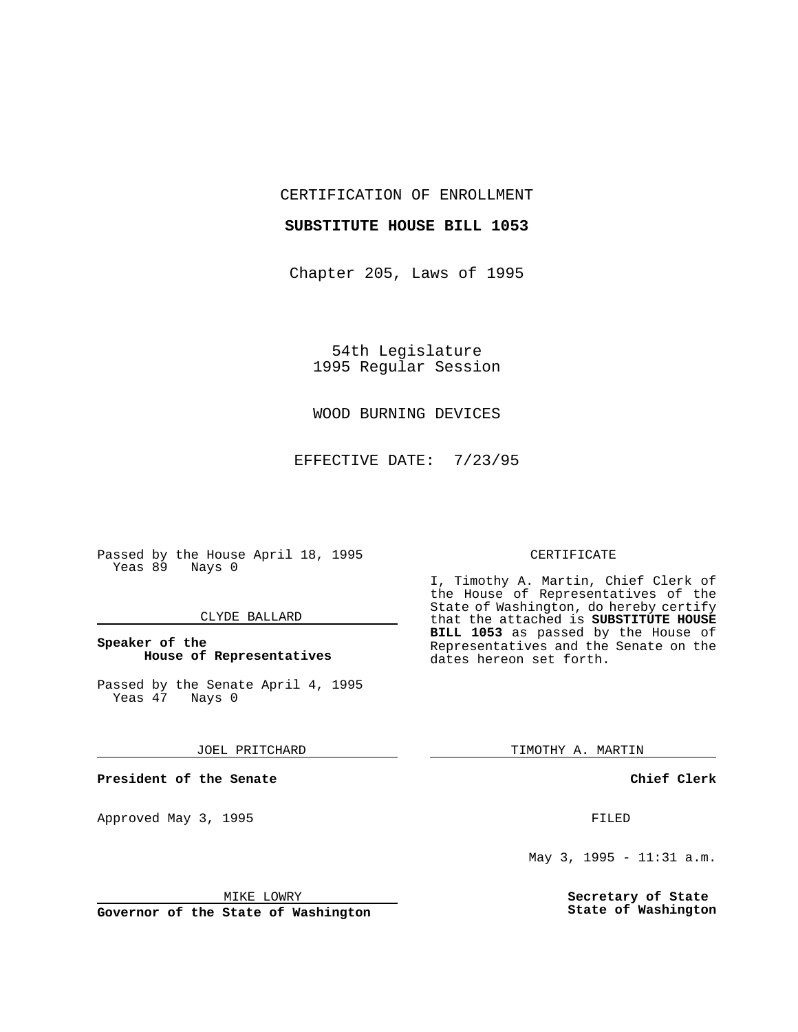CERTIFICATION OF ENROLLMENT

#### **SUBSTITUTE HOUSE BILL 1053**

Chapter 205, Laws of 1995

54th Legislature 1995 Regular Session

# WOOD BURNING DEVICES

EFFECTIVE DATE: 7/23/95

Passed by the House April 18, 1995 Yeas 89 Nays 0

## CLYDE BALLARD

# **Speaker of the House of Representatives**

Passed by the Senate April 4, 1995<br>Yeas 47 Nays 0 Yeas 47

#### JOEL PRITCHARD

**President of the Senate**

Approved May 3, 1995 **FILED** 

#### MIKE LOWRY

**Governor of the State of Washington**

#### CERTIFICATE

I, Timothy A. Martin, Chief Clerk of the House of Representatives of the State of Washington, do hereby certify that the attached is **SUBSTITUTE HOUSE BILL 1053** as passed by the House of Representatives and the Senate on the dates hereon set forth.

TIMOTHY A. MARTIN

## **Chief Clerk**

May 3, 1995 - 11:31 a.m.

**Secretary of State State of Washington**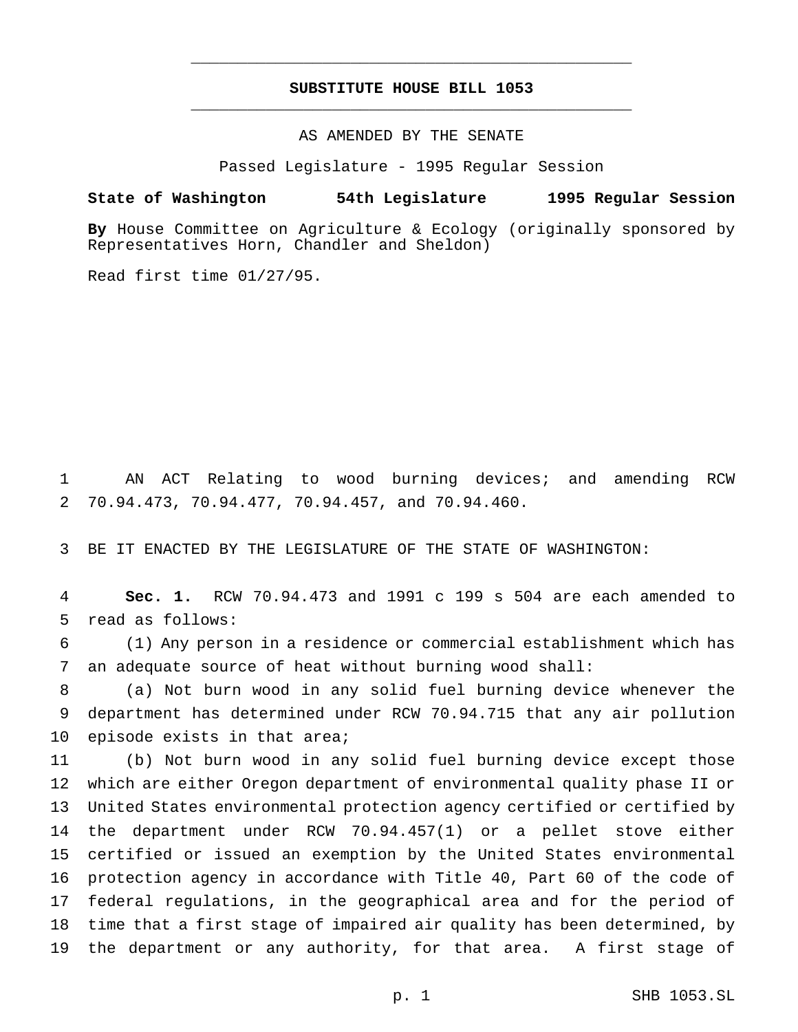# **SUBSTITUTE HOUSE BILL 1053** \_\_\_\_\_\_\_\_\_\_\_\_\_\_\_\_\_\_\_\_\_\_\_\_\_\_\_\_\_\_\_\_\_\_\_\_\_\_\_\_\_\_\_\_\_\_\_

\_\_\_\_\_\_\_\_\_\_\_\_\_\_\_\_\_\_\_\_\_\_\_\_\_\_\_\_\_\_\_\_\_\_\_\_\_\_\_\_\_\_\_\_\_\_\_

AS AMENDED BY THE SENATE

Passed Legislature - 1995 Regular Session

### **State of Washington 54th Legislature 1995 Regular Session**

**By** House Committee on Agriculture & Ecology (originally sponsored by Representatives Horn, Chandler and Sheldon)

Read first time 01/27/95.

 AN ACT Relating to wood burning devices; and amending RCW 70.94.473, 70.94.477, 70.94.457, and 70.94.460.

BE IT ENACTED BY THE LEGISLATURE OF THE STATE OF WASHINGTON:

 **Sec. 1.** RCW 70.94.473 and 1991 c 199 s 504 are each amended to read as follows:

 (1) Any person in a residence or commercial establishment which has an adequate source of heat without burning wood shall:

 (a) Not burn wood in any solid fuel burning device whenever the department has determined under RCW 70.94.715 that any air pollution 10 episode exists in that area;

 (b) Not burn wood in any solid fuel burning device except those which are either Oregon department of environmental quality phase II or United States environmental protection agency certified or certified by the department under RCW 70.94.457(1) or a pellet stove either certified or issued an exemption by the United States environmental protection agency in accordance with Title 40, Part 60 of the code of federal regulations, in the geographical area and for the period of time that a first stage of impaired air quality has been determined, by the department or any authority, for that area. A first stage of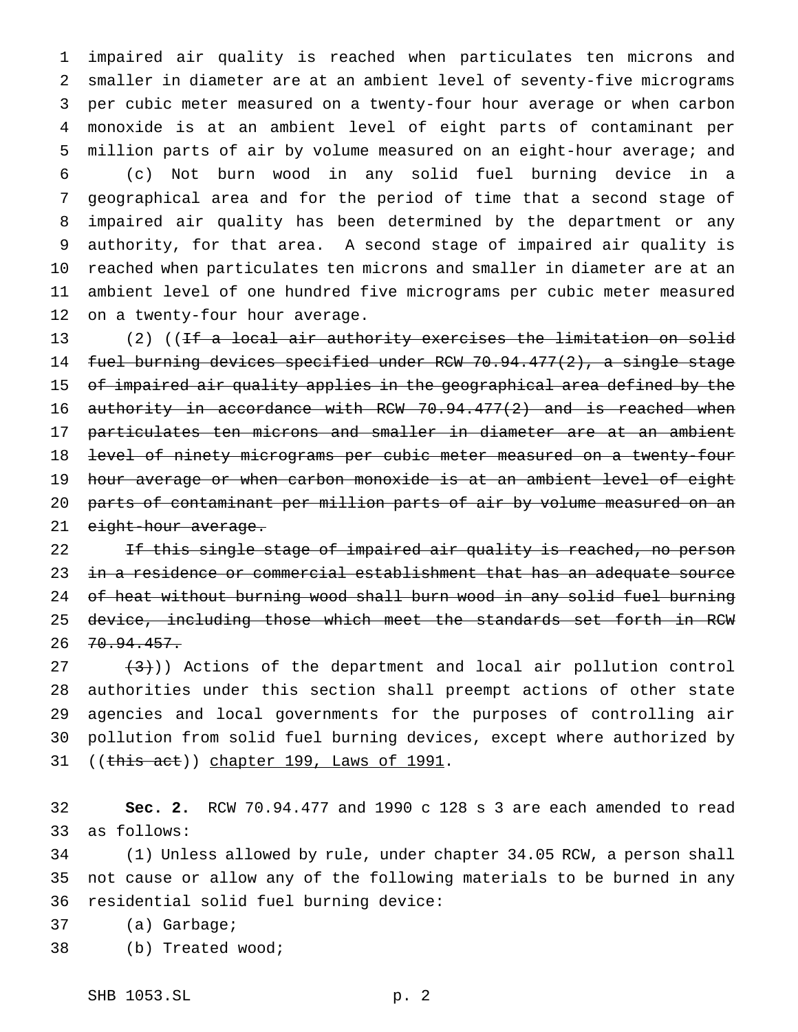impaired air quality is reached when particulates ten microns and smaller in diameter are at an ambient level of seventy-five micrograms per cubic meter measured on a twenty-four hour average or when carbon monoxide is at an ambient level of eight parts of contaminant per million parts of air by volume measured on an eight-hour average; and

 (c) Not burn wood in any solid fuel burning device in a geographical area and for the period of time that a second stage of impaired air quality has been determined by the department or any authority, for that area. A second stage of impaired air quality is reached when particulates ten microns and smaller in diameter are at an ambient level of one hundred five micrograms per cubic meter measured on a twenty-four hour average.

13 (2) ((<del>If a local air authority exercises the limitation on solid</del> fuel burning devices specified under RCW 70.94.477(2), a single stage of impaired air quality applies in the geographical area defined by the authority in accordance with RCW 70.94.477(2) and is reached when particulates ten microns and smaller in diameter are at an ambient level of ninety micrograms per cubic meter measured on a twenty-four hour average or when carbon monoxide is at an ambient level of eight parts of contaminant per million parts of air by volume measured on an 21 eight-hour average.

22 TH this single stage of impaired air quality is reached, no person 23 in a residence or commercial establishment that has an adequate source of heat without burning wood shall burn wood in any solid fuel burning device, including those which meet the standards set forth in RCW 26 70.94.457.

 $(3)$  (3)) Actions of the department and local air pollution control authorities under this section shall preempt actions of other state agencies and local governments for the purposes of controlling air pollution from solid fuel burning devices, except where authorized by 31 ((this act)) chapter 199, Laws of 1991.

 **Sec. 2.** RCW 70.94.477 and 1990 c 128 s 3 are each amended to read as follows:

 (1) Unless allowed by rule, under chapter 34.05 RCW, a person shall not cause or allow any of the following materials to be burned in any residential solid fuel burning device:

(a) Garbage;

(b) Treated wood;

SHB 1053.SL p. 2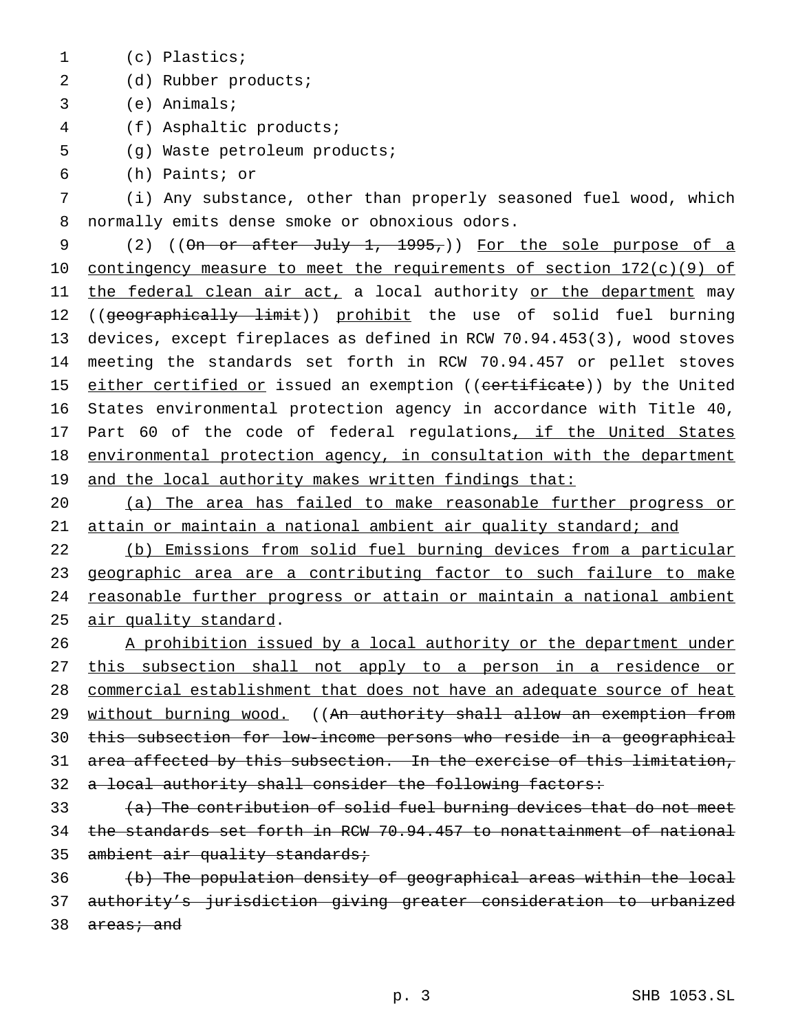- (c) Plastics;
- (d) Rubber products;
- (e) Animals;
- (f) Asphaltic products;
- (g) Waste petroleum products;
- (h) Paints; or

 (i) Any substance, other than properly seasoned fuel wood, which normally emits dense smoke or obnoxious odors.

9 (2) ((On or after July 1, 1995,)) For the sole purpose of a 10 contingency measure to meet the requirements of section 172(c)(9) of 11 the federal clean air act, a local authority or the department may 12 ((geographically limit)) prohibit the use of solid fuel burning devices, except fireplaces as defined in RCW 70.94.453(3), wood stoves meeting the standards set forth in RCW 70.94.457 or pellet stoves 15 either certified or issued an exemption ((certificate)) by the United States environmental protection agency in accordance with Title 40, 17 Part 60 of the code of federal regulations, if the United States 18 environmental protection agency, in consultation with the department 19 and the local authority makes written findings that:

 (a) The area has failed to make reasonable further progress or attain or maintain a national ambient air quality standard; and

 (b) Emissions from solid fuel burning devices from a particular 23 geographic area are a contributing factor to such failure to make reasonable further progress or attain or maintain a national ambient air quality standard.

26 A prohibition issued by a local authority or the department under this subsection shall not apply to a person in a residence or commercial establishment that does not have an adequate source of heat 29 without burning wood. ((An authority shall allow an exemption from this subsection for low-income persons who reside in a geographical area affected by this subsection. In the exercise of this limitation, 32 a local authority shall consider the following factors:

 (a) The contribution of solid fuel burning devices that do not meet the standards set forth in RCW 70.94.457 to nonattainment of national 35 ambient air quality standards;

 (b) The population density of geographical areas within the local authority's jurisdiction giving greater consideration to urbanized 38 areas; and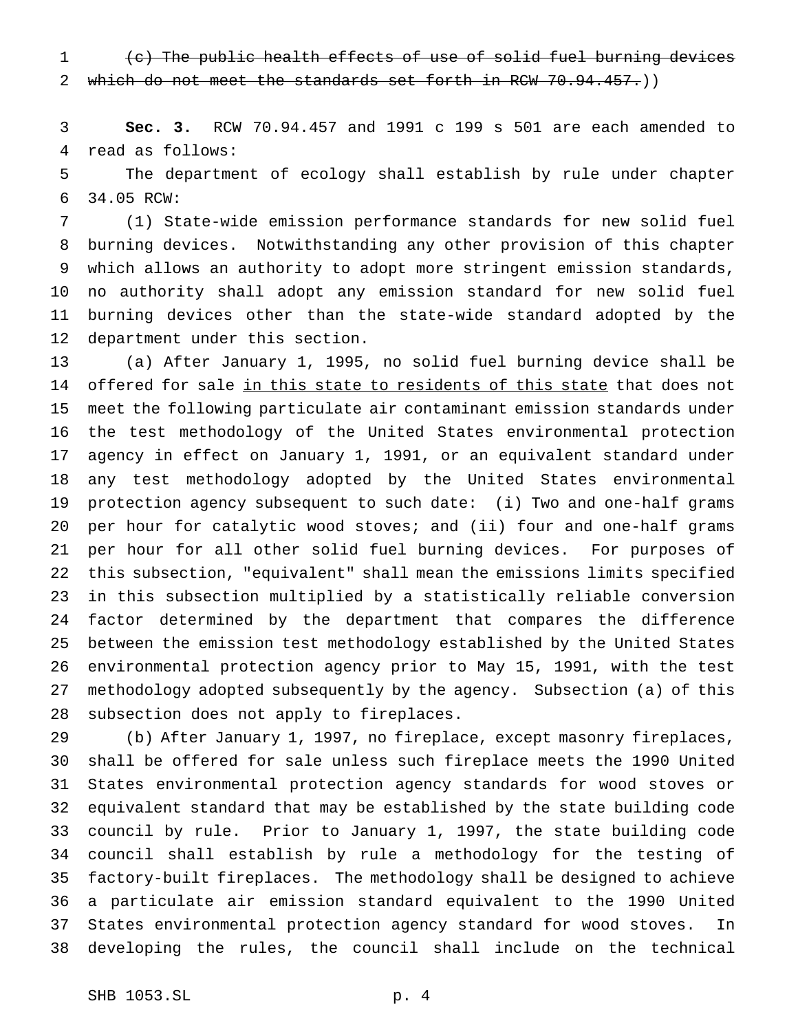(c) The public health effects of use of solid fuel burning devices 2 which do not meet the standards set forth in RCW 70.94.457.)

 **Sec. 3.** RCW 70.94.457 and 1991 c 199 s 501 are each amended to read as follows:

 The department of ecology shall establish by rule under chapter 34.05 RCW:

 (1) State-wide emission performance standards for new solid fuel burning devices. Notwithstanding any other provision of this chapter which allows an authority to adopt more stringent emission standards, no authority shall adopt any emission standard for new solid fuel burning devices other than the state-wide standard adopted by the department under this section.

 (a) After January 1, 1995, no solid fuel burning device shall be 14 offered for sale in this state to residents of this state that does not meet the following particulate air contaminant emission standards under the test methodology of the United States environmental protection agency in effect on January 1, 1991, or an equivalent standard under any test methodology adopted by the United States environmental protection agency subsequent to such date: (i) Two and one-half grams per hour for catalytic wood stoves; and (ii) four and one-half grams per hour for all other solid fuel burning devices. For purposes of this subsection, "equivalent" shall mean the emissions limits specified in this subsection multiplied by a statistically reliable conversion factor determined by the department that compares the difference between the emission test methodology established by the United States environmental protection agency prior to May 15, 1991, with the test methodology adopted subsequently by the agency. Subsection (a) of this subsection does not apply to fireplaces.

 (b) After January 1, 1997, no fireplace, except masonry fireplaces, shall be offered for sale unless such fireplace meets the 1990 United States environmental protection agency standards for wood stoves or equivalent standard that may be established by the state building code council by rule. Prior to January 1, 1997, the state building code council shall establish by rule a methodology for the testing of factory-built fireplaces. The methodology shall be designed to achieve a particulate air emission standard equivalent to the 1990 United States environmental protection agency standard for wood stoves. In developing the rules, the council shall include on the technical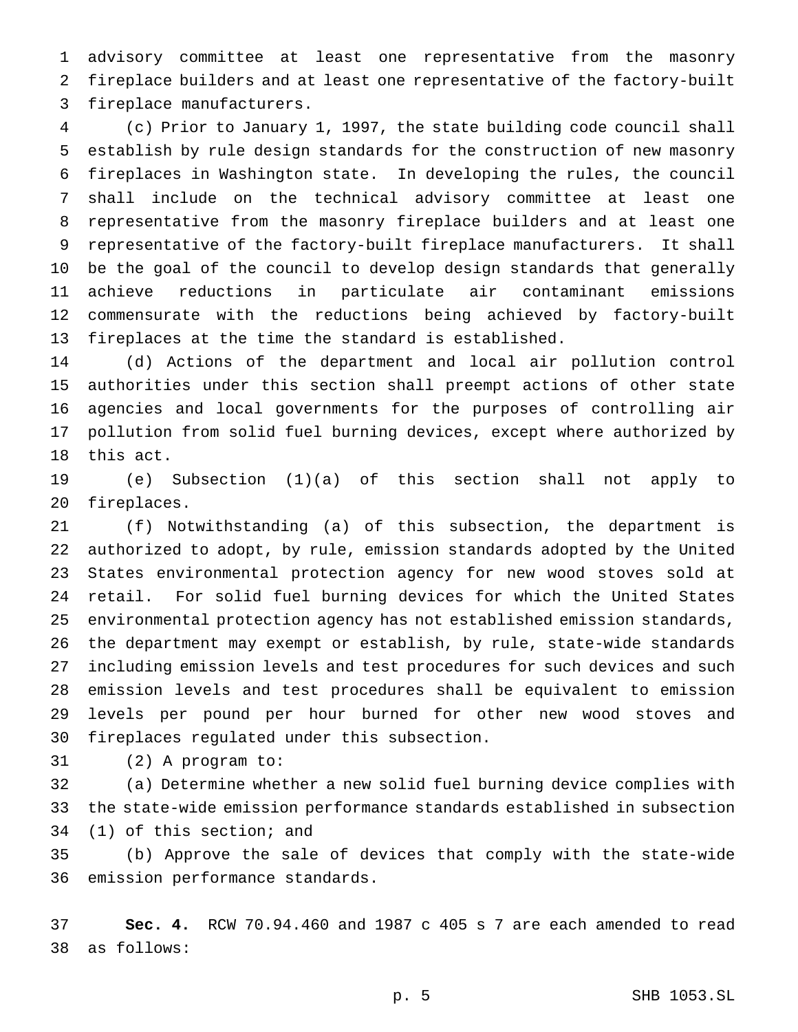advisory committee at least one representative from the masonry fireplace builders and at least one representative of the factory-built fireplace manufacturers.

 (c) Prior to January 1, 1997, the state building code council shall establish by rule design standards for the construction of new masonry fireplaces in Washington state. In developing the rules, the council shall include on the technical advisory committee at least one representative from the masonry fireplace builders and at least one representative of the factory-built fireplace manufacturers. It shall be the goal of the council to develop design standards that generally achieve reductions in particulate air contaminant emissions commensurate with the reductions being achieved by factory-built fireplaces at the time the standard is established.

 (d) Actions of the department and local air pollution control authorities under this section shall preempt actions of other state agencies and local governments for the purposes of controlling air pollution from solid fuel burning devices, except where authorized by this act.

 (e) Subsection (1)(a) of this section shall not apply to fireplaces.

 (f) Notwithstanding (a) of this subsection, the department is authorized to adopt, by rule, emission standards adopted by the United States environmental protection agency for new wood stoves sold at retail. For solid fuel burning devices for which the United States environmental protection agency has not established emission standards, the department may exempt or establish, by rule, state-wide standards including emission levels and test procedures for such devices and such emission levels and test procedures shall be equivalent to emission levels per pound per hour burned for other new wood stoves and fireplaces regulated under this subsection.

(2) A program to:

 (a) Determine whether a new solid fuel burning device complies with the state-wide emission performance standards established in subsection (1) of this section; and

 (b) Approve the sale of devices that comply with the state-wide emission performance standards.

 **Sec. 4.** RCW 70.94.460 and 1987 c 405 s 7 are each amended to read as follows:

p. 5 SHB 1053.SL